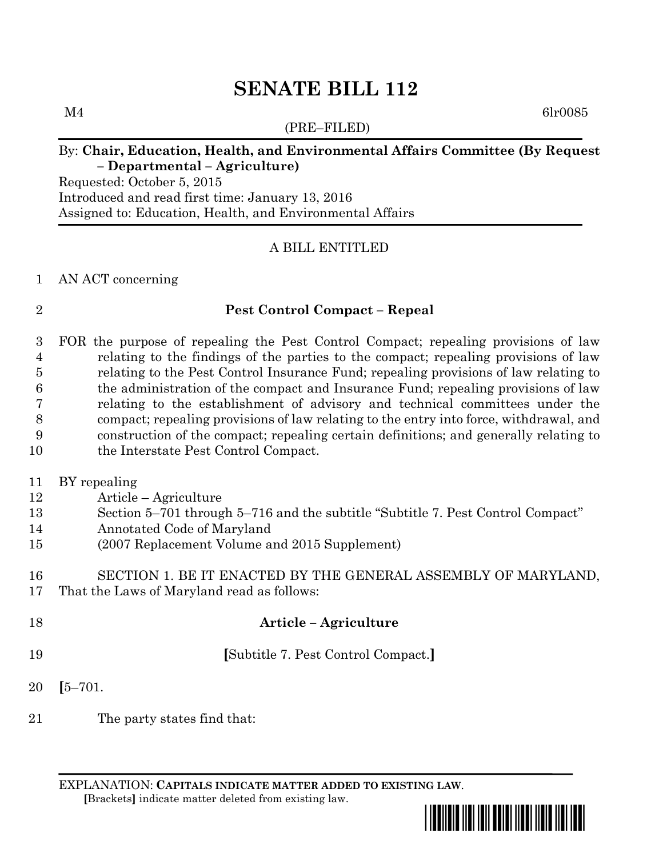$M4$  6lr0085

# (PRE–FILED)

# By: **Chair, Education, Health, and Environmental Affairs Committee (By Request – Departmental – Agriculture)**

Requested: October 5, 2015 Introduced and read first time: January 13, 2016 Assigned to: Education, Health, and Environmental Affairs

# A BILL ENTITLED

# AN ACT concerning

# **Pest Control Compact – Repeal**

 FOR the purpose of repealing the Pest Control Compact; repealing provisions of law relating to the findings of the parties to the compact; repealing provisions of law relating to the Pest Control Insurance Fund; repealing provisions of law relating to the administration of the compact and Insurance Fund; repealing provisions of law relating to the establishment of advisory and technical committees under the compact; repealing provisions of law relating to the entry into force, withdrawal, and construction of the compact; repealing certain definitions; and generally relating to 10 the Interstate Pest Control Compact.

BY repealing

- Article Agriculture
- Section 5–701 through 5–716 and the subtitle "Subtitle 7. Pest Control Compact"
- Annotated Code of Maryland
- (2007 Replacement Volume and 2015 Supplement)

 SECTION 1. BE IT ENACTED BY THE GENERAL ASSEMBLY OF MARYLAND, That the Laws of Maryland read as follows:

- **Article – Agriculture**
- **[**Subtitle 7. Pest Control Compact.**]**
- **[**5–701.
- The party states find that:

EXPLANATION: **CAPITALS INDICATE MATTER ADDED TO EXISTING LAW**.  **[**Brackets**]** indicate matter deleted from existing law.

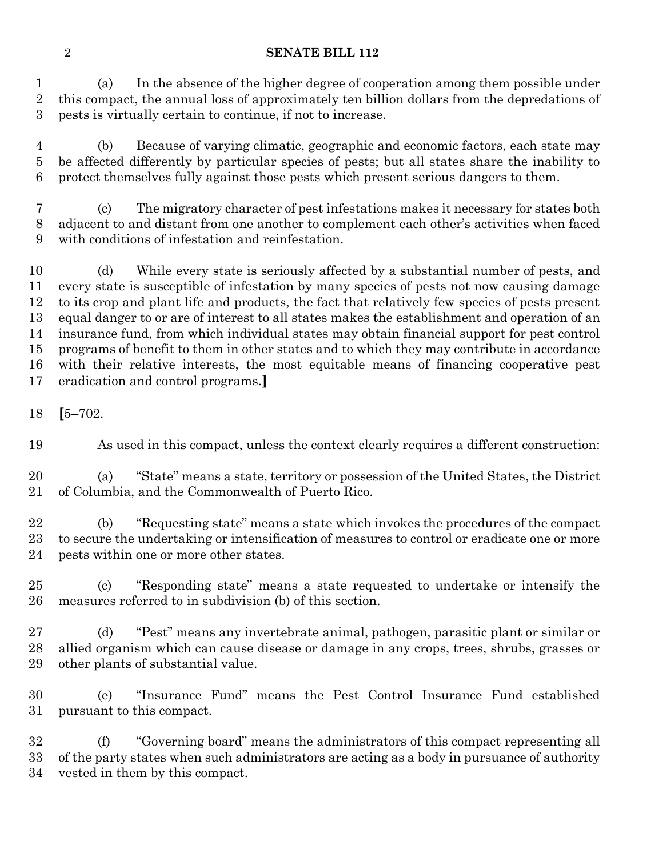(a) In the absence of the higher degree of cooperation among them possible under this compact, the annual loss of approximately ten billion dollars from the depredations of pests is virtually certain to continue, if not to increase.

 (b) Because of varying climatic, geographic and economic factors, each state may be affected differently by particular species of pests; but all states share the inability to protect themselves fully against those pests which present serious dangers to them.

 (c) The migratory character of pest infestations makes it necessary for states both adjacent to and distant from one another to complement each other's activities when faced with conditions of infestation and reinfestation.

 (d) While every state is seriously affected by a substantial number of pests, and every state is susceptible of infestation by many species of pests not now causing damage to its crop and plant life and products, the fact that relatively few species of pests present equal danger to or are of interest to all states makes the establishment and operation of an insurance fund, from which individual states may obtain financial support for pest control programs of benefit to them in other states and to which they may contribute in accordance with their relative interests, the most equitable means of financing cooperative pest eradication and control programs.**]**

**[**5–702.

As used in this compact, unless the context clearly requires a different construction:

 (a) "State" means a state, territory or possession of the United States, the District of Columbia, and the Commonwealth of Puerto Rico.

 (b) "Requesting state" means a state which invokes the procedures of the compact to secure the undertaking or intensification of measures to control or eradicate one or more pests within one or more other states.

 (c) "Responding state" means a state requested to undertake or intensify the measures referred to in subdivision (b) of this section.

 (d) "Pest" means any invertebrate animal, pathogen, parasitic plant or similar or allied organism which can cause disease or damage in any crops, trees, shrubs, grasses or other plants of substantial value.

 (e) "Insurance Fund" means the Pest Control Insurance Fund established pursuant to this compact.

 (f) "Governing board" means the administrators of this compact representing all of the party states when such administrators are acting as a body in pursuance of authority vested in them by this compact.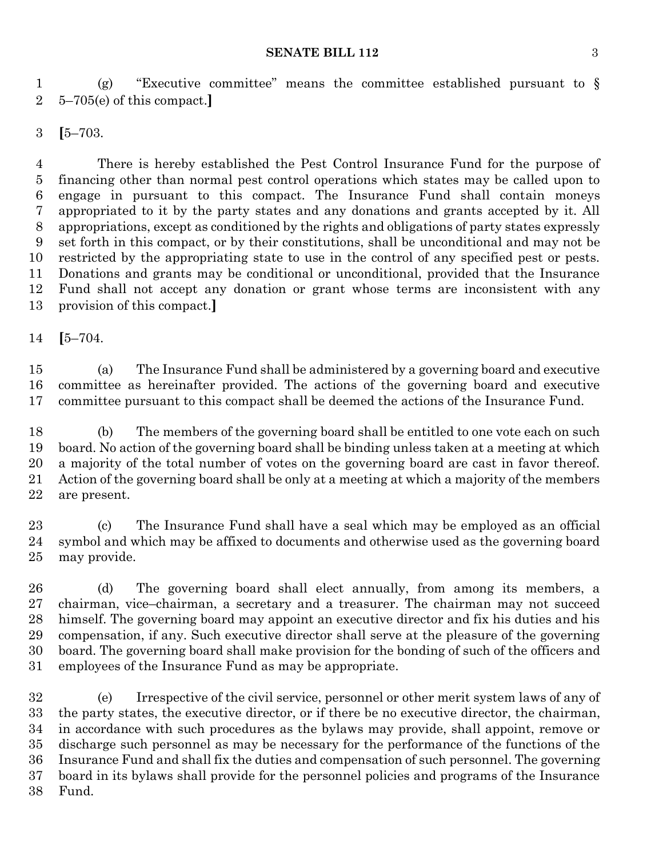#### **SENATE BILL 112** 3

 (g) "Executive committee" means the committee established pursuant to § 5–705(e) of this compact.**]**

**[**5–703.

 There is hereby established the Pest Control Insurance Fund for the purpose of financing other than normal pest control operations which states may be called upon to engage in pursuant to this compact. The Insurance Fund shall contain moneys appropriated to it by the party states and any donations and grants accepted by it. All appropriations, except as conditioned by the rights and obligations of party states expressly set forth in this compact, or by their constitutions, shall be unconditional and may not be restricted by the appropriating state to use in the control of any specified pest or pests. Donations and grants may be conditional or unconditional, provided that the Insurance Fund shall not accept any donation or grant whose terms are inconsistent with any provision of this compact.**]**

**[**5–704.

 (a) The Insurance Fund shall be administered by a governing board and executive committee as hereinafter provided. The actions of the governing board and executive committee pursuant to this compact shall be deemed the actions of the Insurance Fund.

 (b) The members of the governing board shall be entitled to one vote each on such board. No action of the governing board shall be binding unless taken at a meeting at which a majority of the total number of votes on the governing board are cast in favor thereof. Action of the governing board shall be only at a meeting at which a majority of the members are present.

 (c) The Insurance Fund shall have a seal which may be employed as an official symbol and which may be affixed to documents and otherwise used as the governing board may provide.

 (d) The governing board shall elect annually, from among its members, a chairman, vice–chairman, a secretary and a treasurer. The chairman may not succeed himself. The governing board may appoint an executive director and fix his duties and his compensation, if any. Such executive director shall serve at the pleasure of the governing board. The governing board shall make provision for the bonding of such of the officers and employees of the Insurance Fund as may be appropriate.

 (e) Irrespective of the civil service, personnel or other merit system laws of any of the party states, the executive director, or if there be no executive director, the chairman, in accordance with such procedures as the bylaws may provide, shall appoint, remove or discharge such personnel as may be necessary for the performance of the functions of the Insurance Fund and shall fix the duties and compensation of such personnel. The governing board in its bylaws shall provide for the personnel policies and programs of the Insurance Fund.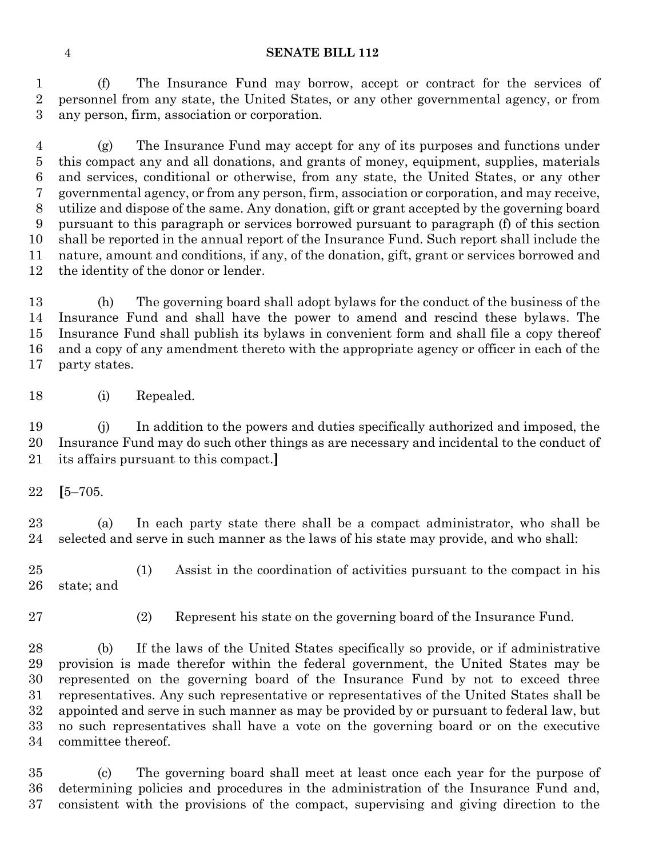(f) The Insurance Fund may borrow, accept or contract for the services of personnel from any state, the United States, or any other governmental agency, or from any person, firm, association or corporation.

 (g) The Insurance Fund may accept for any of its purposes and functions under this compact any and all donations, and grants of money, equipment, supplies, materials and services, conditional or otherwise, from any state, the United States, or any other governmental agency, or from any person, firm, association or corporation, and may receive, utilize and dispose of the same. Any donation, gift or grant accepted by the governing board pursuant to this paragraph or services borrowed pursuant to paragraph (f) of this section shall be reported in the annual report of the Insurance Fund. Such report shall include the nature, amount and conditions, if any, of the donation, gift, grant or services borrowed and the identity of the donor or lender.

 (h) The governing board shall adopt bylaws for the conduct of the business of the Insurance Fund and shall have the power to amend and rescind these bylaws. The Insurance Fund shall publish its bylaws in convenient form and shall file a copy thereof and a copy of any amendment thereto with the appropriate agency or officer in each of the party states.

(i) Repealed.

 (j) In addition to the powers and duties specifically authorized and imposed, the Insurance Fund may do such other things as are necessary and incidental to the conduct of its affairs pursuant to this compact.**]**

**[**5–705.

 (a) In each party state there shall be a compact administrator, who shall be selected and serve in such manner as the laws of his state may provide, and who shall:

 (1) Assist in the coordination of activities pursuant to the compact in his state; and

(2) Represent his state on the governing board of the Insurance Fund.

 (b) If the laws of the United States specifically so provide, or if administrative provision is made therefor within the federal government, the United States may be represented on the governing board of the Insurance Fund by not to exceed three representatives. Any such representative or representatives of the United States shall be appointed and serve in such manner as may be provided by or pursuant to federal law, but no such representatives shall have a vote on the governing board or on the executive committee thereof.

 (c) The governing board shall meet at least once each year for the purpose of determining policies and procedures in the administration of the Insurance Fund and, consistent with the provisions of the compact, supervising and giving direction to the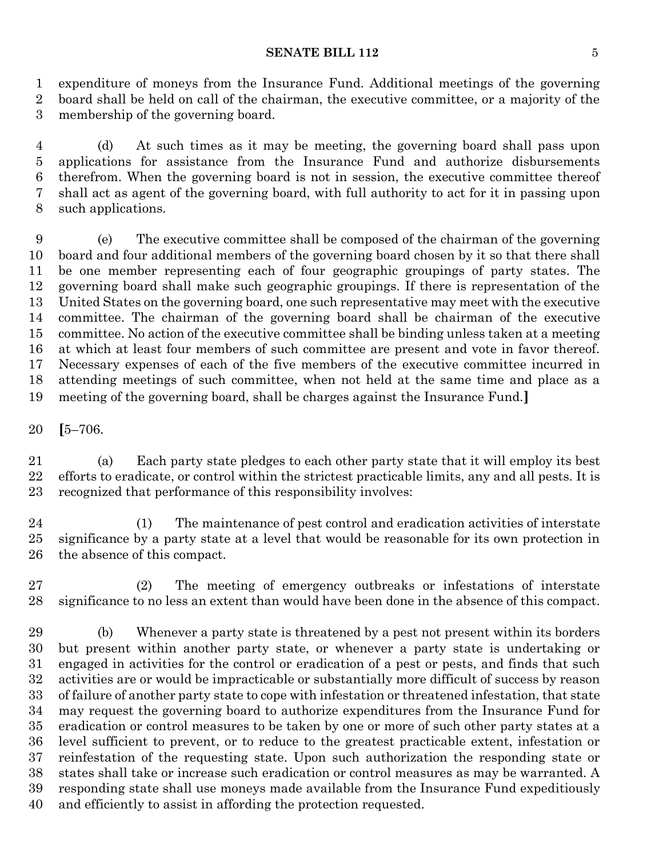#### **SENATE BILL 112** 5

 expenditure of moneys from the Insurance Fund. Additional meetings of the governing board shall be held on call of the chairman, the executive committee, or a majority of the membership of the governing board.

 (d) At such times as it may be meeting, the governing board shall pass upon applications for assistance from the Insurance Fund and authorize disbursements therefrom. When the governing board is not in session, the executive committee thereof shall act as agent of the governing board, with full authority to act for it in passing upon such applications.

 (e) The executive committee shall be composed of the chairman of the governing board and four additional members of the governing board chosen by it so that there shall be one member representing each of four geographic groupings of party states. The governing board shall make such geographic groupings. If there is representation of the United States on the governing board, one such representative may meet with the executive committee. The chairman of the governing board shall be chairman of the executive committee. No action of the executive committee shall be binding unless taken at a meeting at which at least four members of such committee are present and vote in favor thereof. Necessary expenses of each of the five members of the executive committee incurred in attending meetings of such committee, when not held at the same time and place as a meeting of the governing board, shall be charges against the Insurance Fund.**]**

**[**5–706.

 (a) Each party state pledges to each other party state that it will employ its best efforts to eradicate, or control within the strictest practicable limits, any and all pests. It is recognized that performance of this responsibility involves:

 (1) The maintenance of pest control and eradication activities of interstate significance by a party state at a level that would be reasonable for its own protection in the absence of this compact.

 (2) The meeting of emergency outbreaks or infestations of interstate significance to no less an extent than would have been done in the absence of this compact.

 (b) Whenever a party state is threatened by a pest not present within its borders but present within another party state, or whenever a party state is undertaking or engaged in activities for the control or eradication of a pest or pests, and finds that such activities are or would be impracticable or substantially more difficult of success by reason of failure of another party state to cope with infestation or threatened infestation, that state may request the governing board to authorize expenditures from the Insurance Fund for eradication or control measures to be taken by one or more of such other party states at a level sufficient to prevent, or to reduce to the greatest practicable extent, infestation or reinfestation of the requesting state. Upon such authorization the responding state or states shall take or increase such eradication or control measures as may be warranted. A responding state shall use moneys made available from the Insurance Fund expeditiously and efficiently to assist in affording the protection requested.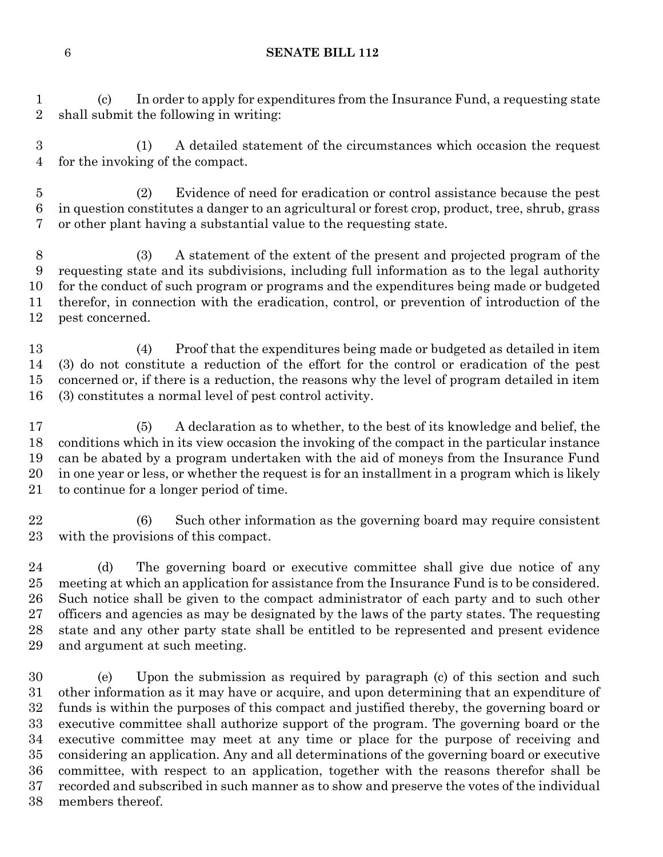(c) In order to apply for expenditures from the Insurance Fund, a requesting state shall submit the following in writing:

 (1) A detailed statement of the circumstances which occasion the request for the invoking of the compact.

 (2) Evidence of need for eradication or control assistance because the pest in question constitutes a danger to an agricultural or forest crop, product, tree, shrub, grass or other plant having a substantial value to the requesting state.

 (3) A statement of the extent of the present and projected program of the requesting state and its subdivisions, including full information as to the legal authority for the conduct of such program or programs and the expenditures being made or budgeted therefor, in connection with the eradication, control, or prevention of introduction of the pest concerned.

 (4) Proof that the expenditures being made or budgeted as detailed in item (3) do not constitute a reduction of the effort for the control or eradication of the pest concerned or, if there is a reduction, the reasons why the level of program detailed in item (3) constitutes a normal level of pest control activity.

 (5) A declaration as to whether, to the best of its knowledge and belief, the conditions which in its view occasion the invoking of the compact in the particular instance can be abated by a program undertaken with the aid of moneys from the Insurance Fund in one year or less, or whether the request is for an installment in a program which is likely to continue for a longer period of time.

 (6) Such other information as the governing board may require consistent with the provisions of this compact.

 (d) The governing board or executive committee shall give due notice of any meeting at which an application for assistance from the Insurance Fund is to be considered. Such notice shall be given to the compact administrator of each party and to such other officers and agencies as may be designated by the laws of the party states. The requesting state and any other party state shall be entitled to be represented and present evidence and argument at such meeting.

 (e) Upon the submission as required by paragraph (c) of this section and such other information as it may have or acquire, and upon determining that an expenditure of funds is within the purposes of this compact and justified thereby, the governing board or executive committee shall authorize support of the program. The governing board or the executive committee may meet at any time or place for the purpose of receiving and considering an application. Any and all determinations of the governing board or executive committee, with respect to an application, together with the reasons therefor shall be recorded and subscribed in such manner as to show and preserve the votes of the individual members thereof.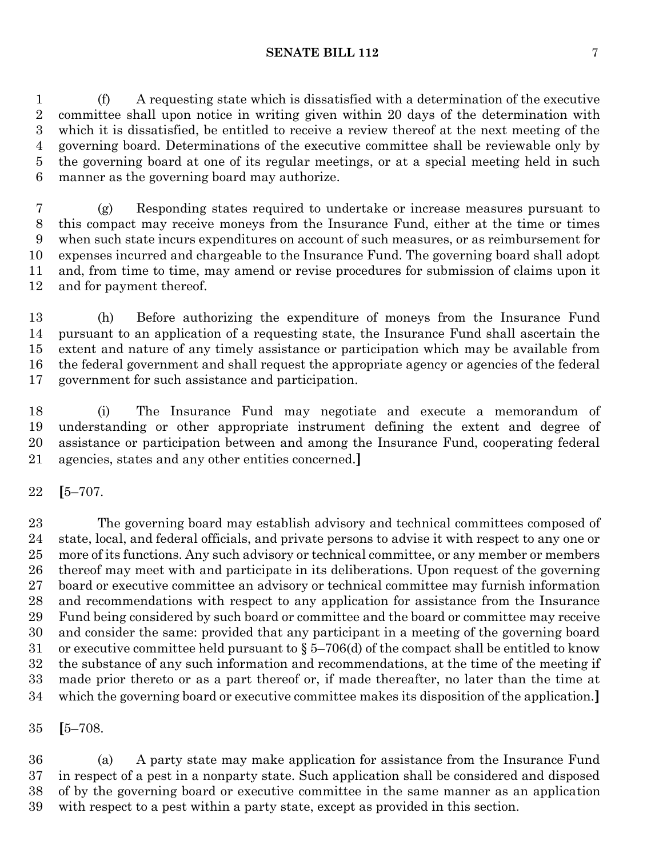(f) A requesting state which is dissatisfied with a determination of the executive committee shall upon notice in writing given within 20 days of the determination with which it is dissatisfied, be entitled to receive a review thereof at the next meeting of the governing board. Determinations of the executive committee shall be reviewable only by the governing board at one of its regular meetings, or at a special meeting held in such manner as the governing board may authorize.

 (g) Responding states required to undertake or increase measures pursuant to this compact may receive moneys from the Insurance Fund, either at the time or times when such state incurs expenditures on account of such measures, or as reimbursement for expenses incurred and chargeable to the Insurance Fund. The governing board shall adopt and, from time to time, may amend or revise procedures for submission of claims upon it and for payment thereof.

 (h) Before authorizing the expenditure of moneys from the Insurance Fund pursuant to an application of a requesting state, the Insurance Fund shall ascertain the extent and nature of any timely assistance or participation which may be available from the federal government and shall request the appropriate agency or agencies of the federal government for such assistance and participation.

 (i) The Insurance Fund may negotiate and execute a memorandum of understanding or other appropriate instrument defining the extent and degree of assistance or participation between and among the Insurance Fund, cooperating federal agencies, states and any other entities concerned.**]**

**[**5–707.

 The governing board may establish advisory and technical committees composed of state, local, and federal officials, and private persons to advise it with respect to any one or more of its functions. Any such advisory or technical committee, or any member or members thereof may meet with and participate in its deliberations. Upon request of the governing board or executive committee an advisory or technical committee may furnish information and recommendations with respect to any application for assistance from the Insurance Fund being considered by such board or committee and the board or committee may receive and consider the same: provided that any participant in a meeting of the governing board 31 or executive committee held pursuant to  $\S 5-706$  (d) of the compact shall be entitled to know the substance of any such information and recommendations, at the time of the meeting if made prior thereto or as a part thereof or, if made thereafter, no later than the time at which the governing board or executive committee makes its disposition of the application.**]**

**[**5–708.

 (a) A party state may make application for assistance from the Insurance Fund in respect of a pest in a nonparty state. Such application shall be considered and disposed of by the governing board or executive committee in the same manner as an application with respect to a pest within a party state, except as provided in this section.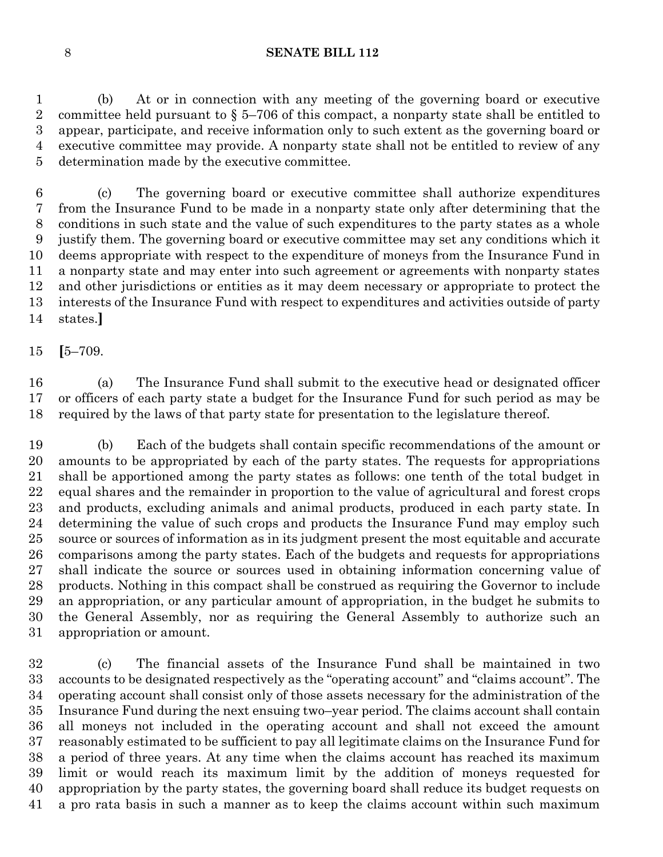(b) At or in connection with any meeting of the governing board or executive 2 committee held pursuant to  $\S 5-706$  of this compact, a nonparty state shall be entitled to appear, participate, and receive information only to such extent as the governing board or executive committee may provide. A nonparty state shall not be entitled to review of any determination made by the executive committee.

 (c) The governing board or executive committee shall authorize expenditures from the Insurance Fund to be made in a nonparty state only after determining that the conditions in such state and the value of such expenditures to the party states as a whole justify them. The governing board or executive committee may set any conditions which it deems appropriate with respect to the expenditure of moneys from the Insurance Fund in a nonparty state and may enter into such agreement or agreements with nonparty states and other jurisdictions or entities as it may deem necessary or appropriate to protect the interests of the Insurance Fund with respect to expenditures and activities outside of party states.**]**

**[**5–709.

 (a) The Insurance Fund shall submit to the executive head or designated officer or officers of each party state a budget for the Insurance Fund for such period as may be required by the laws of that party state for presentation to the legislature thereof.

 (b) Each of the budgets shall contain specific recommendations of the amount or amounts to be appropriated by each of the party states. The requests for appropriations shall be apportioned among the party states as follows: one tenth of the total budget in equal shares and the remainder in proportion to the value of agricultural and forest crops and products, excluding animals and animal products, produced in each party state. In determining the value of such crops and products the Insurance Fund may employ such source or sources of information as in its judgment present the most equitable and accurate comparisons among the party states. Each of the budgets and requests for appropriations shall indicate the source or sources used in obtaining information concerning value of products. Nothing in this compact shall be construed as requiring the Governor to include an appropriation, or any particular amount of appropriation, in the budget he submits to the General Assembly, nor as requiring the General Assembly to authorize such an appropriation or amount.

 (c) The financial assets of the Insurance Fund shall be maintained in two accounts to be designated respectively as the "operating account" and "claims account". The operating account shall consist only of those assets necessary for the administration of the Insurance Fund during the next ensuing two–year period. The claims account shall contain all moneys not included in the operating account and shall not exceed the amount reasonably estimated to be sufficient to pay all legitimate claims on the Insurance Fund for a period of three years. At any time when the claims account has reached its maximum limit or would reach its maximum limit by the addition of moneys requested for appropriation by the party states, the governing board shall reduce its budget requests on a pro rata basis in such a manner as to keep the claims account within such maximum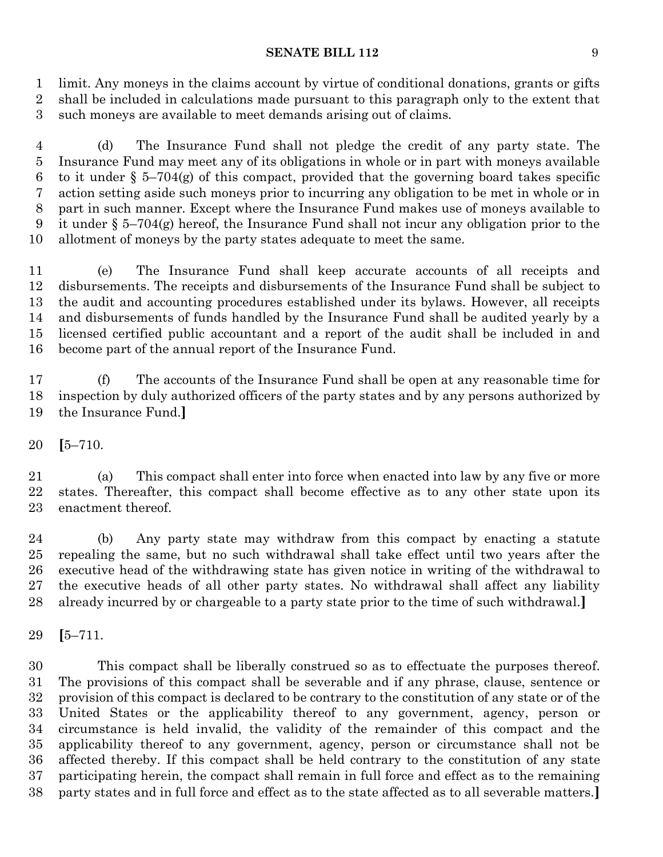#### **SENATE BILL 112** 9

 limit. Any moneys in the claims account by virtue of conditional donations, grants or gifts shall be included in calculations made pursuant to this paragraph only to the extent that such moneys are available to meet demands arising out of claims.

 (d) The Insurance Fund shall not pledge the credit of any party state. The Insurance Fund may meet any of its obligations in whole or in part with moneys available 6 to it under  $\S$  5–704(g) of this compact, provided that the governing board takes specific action setting aside such moneys prior to incurring any obligation to be met in whole or in part in such manner. Except where the Insurance Fund makes use of moneys available to 9 it under  $\S 5-704(g)$  hereof, the Insurance Fund shall not incur any obligation prior to the allotment of moneys by the party states adequate to meet the same.

 (e) The Insurance Fund shall keep accurate accounts of all receipts and disbursements. The receipts and disbursements of the Insurance Fund shall be subject to the audit and accounting procedures established under its bylaws. However, all receipts and disbursements of funds handled by the Insurance Fund shall be audited yearly by a licensed certified public accountant and a report of the audit shall be included in and become part of the annual report of the Insurance Fund.

 (f) The accounts of the Insurance Fund shall be open at any reasonable time for inspection by duly authorized officers of the party states and by any persons authorized by the Insurance Fund.**]**

**[**5–710.

 (a) This compact shall enter into force when enacted into law by any five or more states. Thereafter, this compact shall become effective as to any other state upon its enactment thereof.

 (b) Any party state may withdraw from this compact by enacting a statute repealing the same, but no such withdrawal shall take effect until two years after the executive head of the withdrawing state has given notice in writing of the withdrawal to the executive heads of all other party states. No withdrawal shall affect any liability already incurred by or chargeable to a party state prior to the time of such withdrawal.**]**

**[**5–711.

 This compact shall be liberally construed so as to effectuate the purposes thereof. The provisions of this compact shall be severable and if any phrase, clause, sentence or provision of this compact is declared to be contrary to the constitution of any state or of the United States or the applicability thereof to any government, agency, person or circumstance is held invalid, the validity of the remainder of this compact and the applicability thereof to any government, agency, person or circumstance shall not be affected thereby. If this compact shall be held contrary to the constitution of any state participating herein, the compact shall remain in full force and effect as to the remaining party states and in full force and effect as to the state affected as to all severable matters.**]**